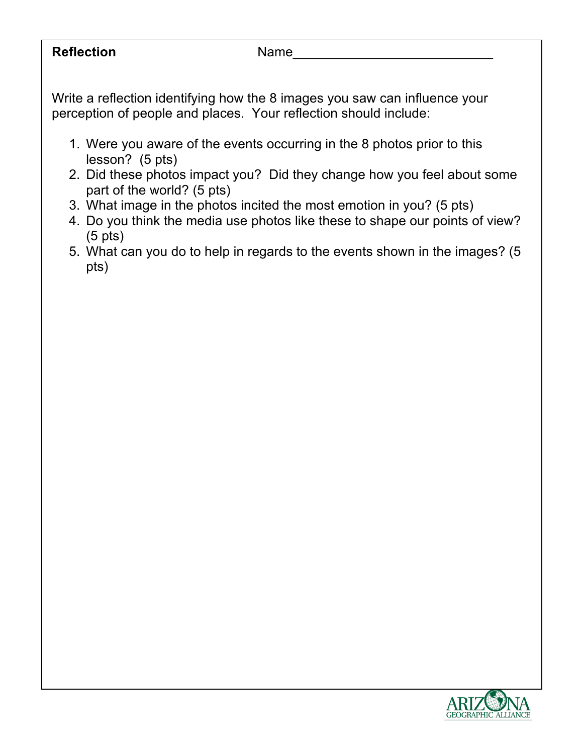**Reflection** Name

Write a reflection identifying how the 8 images you saw can influence your perception of people and places. Your reflection should include:

- 1. Were you aware of the events occurring in the 8 photos prior to this lesson? (5 pts)
- 2. Did these photos impact you? Did they change how you feel about some part of the world? (5 pts)
- 3. What image in the photos incited the most emotion in you? (5 pts)
- 4. Do you think the media use photos like these to shape our points of view? (5 pts)
- 5. What can you do to help in regards to the events shown in the images? (5 pts)